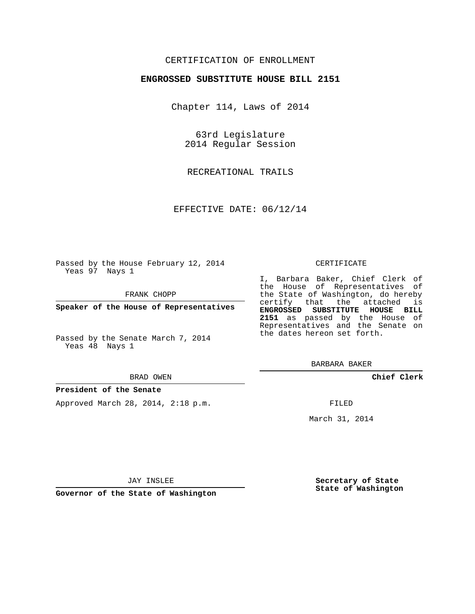# CERTIFICATION OF ENROLLMENT

## **ENGROSSED SUBSTITUTE HOUSE BILL 2151**

Chapter 114, Laws of 2014

63rd Legislature 2014 Regular Session

RECREATIONAL TRAILS

EFFECTIVE DATE: 06/12/14

Passed by the House February 12, 2014 Yeas 97 Nays 1

FRANK CHOPP

**Speaker of the House of Representatives**

Passed by the Senate March 7, 2014 Yeas 48 Nays 1

#### BRAD OWEN

### **President of the Senate**

Approved March 28, 2014, 2:18 p.m.

#### CERTIFICATE

I, Barbara Baker, Chief Clerk of the House of Representatives of the State of Washington, do hereby certify that the attached is **ENGROSSED SUBSTITUTE HOUSE BILL 2151** as passed by the House of Representatives and the Senate on the dates hereon set forth.

BARBARA BAKER

**Chief Clerk**

FILED

March 31, 2014

JAY INSLEE

**Governor of the State of Washington**

**Secretary of State State of Washington**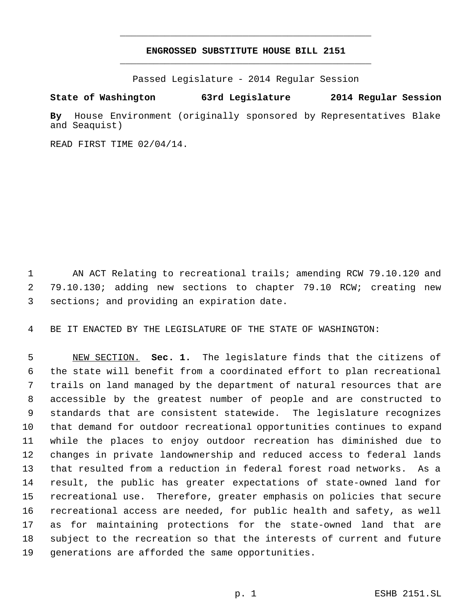# **ENGROSSED SUBSTITUTE HOUSE BILL 2151** \_\_\_\_\_\_\_\_\_\_\_\_\_\_\_\_\_\_\_\_\_\_\_\_\_\_\_\_\_\_\_\_\_\_\_\_\_\_\_\_\_\_\_\_\_

\_\_\_\_\_\_\_\_\_\_\_\_\_\_\_\_\_\_\_\_\_\_\_\_\_\_\_\_\_\_\_\_\_\_\_\_\_\_\_\_\_\_\_\_\_

Passed Legislature - 2014 Regular Session

# **State of Washington 63rd Legislature 2014 Regular Session**

**By** House Environment (originally sponsored by Representatives Blake and Seaquist)

READ FIRST TIME 02/04/14.

1 AN ACT Relating to recreational trails; amending RCW 79.10.120 and 79.10.130; adding new sections to chapter 79.10 RCW; creating new 3 sections; and providing an expiration date.

BE IT ENACTED BY THE LEGISLATURE OF THE STATE OF WASHINGTON:

 NEW SECTION. **Sec. 1.** The legislature finds that the citizens of the state will benefit from a coordinated effort to plan recreational trails on land managed by the department of natural resources that are accessible by the greatest number of people and are constructed to standards that are consistent statewide. The legislature recognizes that demand for outdoor recreational opportunities continues to expand while the places to enjoy outdoor recreation has diminished due to changes in private landownership and reduced access to federal lands that resulted from a reduction in federal forest road networks. As a result, the public has greater expectations of state-owned land for recreational use. Therefore, greater emphasis on policies that secure recreational access are needed, for public health and safety, as well as for maintaining protections for the state-owned land that are subject to the recreation so that the interests of current and future generations are afforded the same opportunities.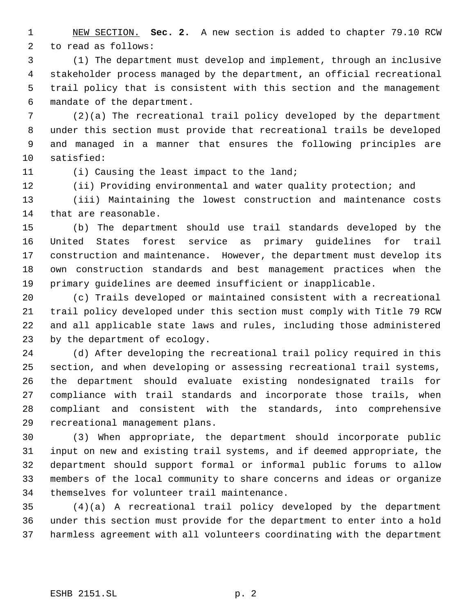NEW SECTION. **Sec. 2.** A new section is added to chapter 79.10 RCW to read as follows:

 (1) The department must develop and implement, through an inclusive stakeholder process managed by the department, an official recreational trail policy that is consistent with this section and the management mandate of the department.

 (2)(a) The recreational trail policy developed by the department under this section must provide that recreational trails be developed and managed in a manner that ensures the following principles are satisfied:

11 (i) Causing the least impact to the land;

(ii) Providing environmental and water quality protection; and

 (iii) Maintaining the lowest construction and maintenance costs that are reasonable.

 (b) The department should use trail standards developed by the United States forest service as primary guidelines for trail construction and maintenance. However, the department must develop its own construction standards and best management practices when the primary guidelines are deemed insufficient or inapplicable.

 (c) Trails developed or maintained consistent with a recreational trail policy developed under this section must comply with Title 79 RCW and all applicable state laws and rules, including those administered by the department of ecology.

 (d) After developing the recreational trail policy required in this section, and when developing or assessing recreational trail systems, the department should evaluate existing nondesignated trails for compliance with trail standards and incorporate those trails, when compliant and consistent with the standards, into comprehensive recreational management plans.

 (3) When appropriate, the department should incorporate public input on new and existing trail systems, and if deemed appropriate, the department should support formal or informal public forums to allow members of the local community to share concerns and ideas or organize themselves for volunteer trail maintenance.

 (4)(a) A recreational trail policy developed by the department under this section must provide for the department to enter into a hold harmless agreement with all volunteers coordinating with the department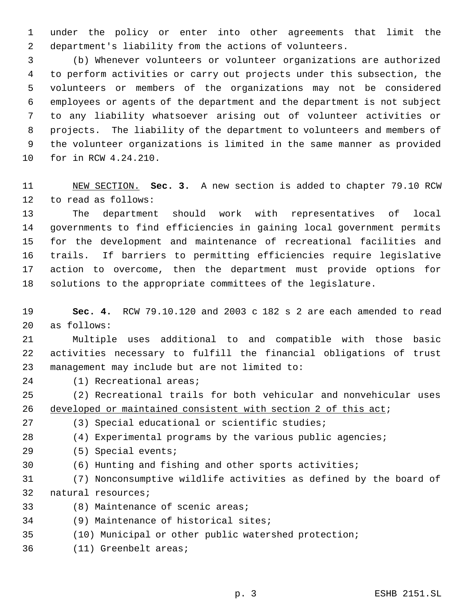under the policy or enter into other agreements that limit the department's liability from the actions of volunteers.

 (b) Whenever volunteers or volunteer organizations are authorized to perform activities or carry out projects under this subsection, the volunteers or members of the organizations may not be considered employees or agents of the department and the department is not subject to any liability whatsoever arising out of volunteer activities or projects. The liability of the department to volunteers and members of the volunteer organizations is limited in the same manner as provided for in RCW 4.24.210.

 NEW SECTION. **Sec. 3.** A new section is added to chapter 79.10 RCW to read as follows:

 The department should work with representatives of local governments to find efficiencies in gaining local government permits for the development and maintenance of recreational facilities and trails. If barriers to permitting efficiencies require legislative action to overcome, then the department must provide options for solutions to the appropriate committees of the legislature.

 **Sec. 4.** RCW 79.10.120 and 2003 c 182 s 2 are each amended to read as follows:

 Multiple uses additional to and compatible with those basic activities necessary to fulfill the financial obligations of trust management may include but are not limited to:

(1) Recreational areas;

 (2) Recreational trails for both vehicular and nonvehicular uses 26 developed or maintained consistent with section 2 of this act;

- (3) Special educational or scientific studies;
- (4) Experimental programs by the various public agencies;

(5) Special events;

(6) Hunting and fishing and other sports activities;

 (7) Nonconsumptive wildlife activities as defined by the board of natural resources;

- (8) Maintenance of scenic areas;
- (9) Maintenance of historical sites;
- (10) Municipal or other public watershed protection;
- (11) Greenbelt areas;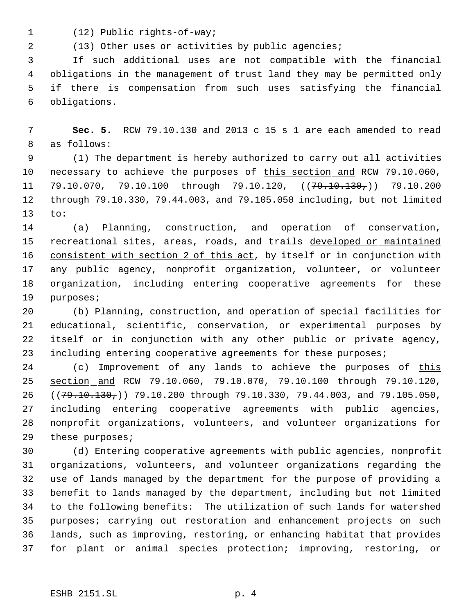(12) Public rights-of-way;

2 (13) Other uses or activities by public agencies;

 If such additional uses are not compatible with the financial obligations in the management of trust land they may be permitted only if there is compensation from such uses satisfying the financial obligations.

 **Sec. 5.** RCW 79.10.130 and 2013 c 15 s 1 are each amended to read as follows:

 (1) The department is hereby authorized to carry out all activities 10 necessary to achieve the purposes of this section and RCW 79.10.060, 11 79.10.070, 79.10.100 through 79.10.120,  $((79.10.130, 79.10.200$  through 79.10.330, 79.44.003, and 79.105.050 including, but not limited to:

 (a) Planning, construction, and operation of conservation, 15 recreational sites, areas, roads, and trails developed or maintained 16 consistent with section 2 of this act, by itself or in conjunction with any public agency, nonprofit organization, volunteer, or volunteer organization, including entering cooperative agreements for these purposes;

 (b) Planning, construction, and operation of special facilities for educational, scientific, conservation, or experimental purposes by itself or in conjunction with any other public or private agency, 23 including entering cooperative agreements for these purposes;

24 (c) Improvement of any lands to achieve the purposes of this section and RCW 79.10.060, 79.10.070, 79.10.100 through 79.10.120, 26 ((79.10.130,)) 79.10.200 through 79.10.330, 79.44.003, and 79.105.050, including entering cooperative agreements with public agencies, nonprofit organizations, volunteers, and volunteer organizations for 29 these purposes;

 (d) Entering cooperative agreements with public agencies, nonprofit organizations, volunteers, and volunteer organizations regarding the use of lands managed by the department for the purpose of providing a benefit to lands managed by the department, including but not limited to the following benefits: The utilization of such lands for watershed purposes; carrying out restoration and enhancement projects on such lands, such as improving, restoring, or enhancing habitat that provides for plant or animal species protection; improving, restoring, or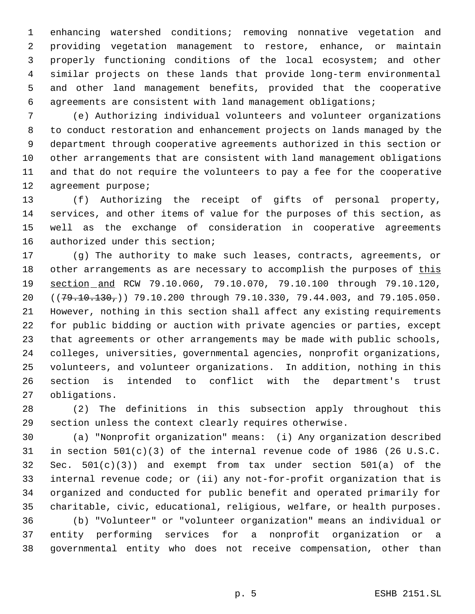enhancing watershed conditions; removing nonnative vegetation and providing vegetation management to restore, enhance, or maintain properly functioning conditions of the local ecosystem; and other similar projects on these lands that provide long-term environmental and other land management benefits, provided that the cooperative agreements are consistent with land management obligations;

 (e) Authorizing individual volunteers and volunteer organizations to conduct restoration and enhancement projects on lands managed by the department through cooperative agreements authorized in this section or other arrangements that are consistent with land management obligations and that do not require the volunteers to pay a fee for the cooperative agreement purpose;

 (f) Authorizing the receipt of gifts of personal property, services, and other items of value for the purposes of this section, as well as the exchange of consideration in cooperative agreements authorized under this section;

 (g) The authority to make such leases, contracts, agreements, or 18 other arrangements as are necessary to accomplish the purposes of this 19 section and RCW 79.10.060, 79.10.070, 79.10.100 through 79.10.120, 20 ((79.10.130,)) 79.10.200 through 79.10.330, 79.44.003, and 79.105.050. However, nothing in this section shall affect any existing requirements for public bidding or auction with private agencies or parties, except that agreements or other arrangements may be made with public schools, colleges, universities, governmental agencies, nonprofit organizations, volunteers, and volunteer organizations. In addition, nothing in this section is intended to conflict with the department's trust obligations.

 (2) The definitions in this subsection apply throughout this section unless the context clearly requires otherwise.

 (a) "Nonprofit organization" means: (i) Any organization described in section 501(c)(3) of the internal revenue code of 1986 (26 U.S.C. Sec. 501(c)(3)) and exempt from tax under section 501(a) of the internal revenue code; or (ii) any not-for-profit organization that is organized and conducted for public benefit and operated primarily for charitable, civic, educational, religious, welfare, or health purposes.

 (b) "Volunteer" or "volunteer organization" means an individual or entity performing services for a nonprofit organization or a governmental entity who does not receive compensation, other than